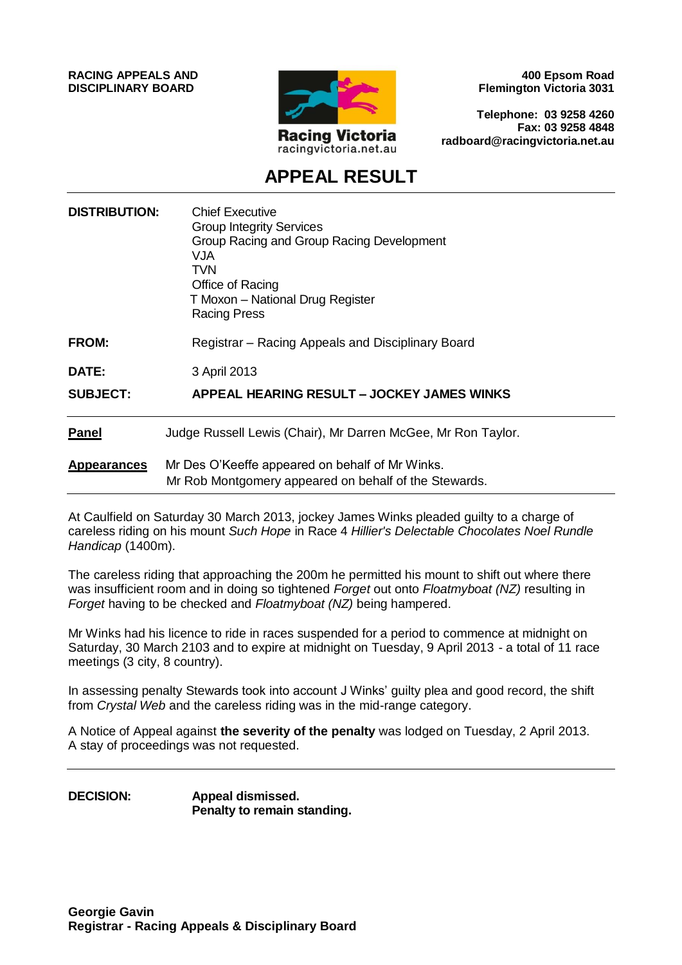**RACING APPEALS AND DISCIPLINARY BOARD**



**400 Epsom Road Flemington Victoria 3031**

**Telephone: 03 9258 4260 Fax: 03 9258 4848 radboard@racingvictoria.net.au**

# **APPEAL RESULT**

| <b>DISTRIBUTION:</b> | <b>Chief Executive</b><br><b>Group Integrity Services</b><br>Group Racing and Group Racing Development<br>VJA<br>TVN<br>Office of Racing<br>T Moxon - National Drug Register<br><b>Racing Press</b> |
|----------------------|-----------------------------------------------------------------------------------------------------------------------------------------------------------------------------------------------------|
| <b>FROM:</b>         | Registrar – Racing Appeals and Disciplinary Board                                                                                                                                                   |
| DATE:                | 3 April 2013                                                                                                                                                                                        |
| <b>SUBJECT:</b>      | APPEAL HEARING RESULT - JOCKEY JAMES WINKS                                                                                                                                                          |
| <b>Panel</b>         | Judge Russell Lewis (Chair), Mr Darren McGee, Mr Ron Taylor.                                                                                                                                        |
| <b>Appearances</b>   | Mr Des O'Keeffe appeared on behalf of Mr Winks.<br>Mr Rob Montgomery appeared on behalf of the Stewards.                                                                                            |

At Caulfield on Saturday 30 March 2013, jockey James Winks pleaded guilty to a charge of careless riding on his mount *Such Hope* in Race 4 *Hillier's Delectable Chocolates Noel Rundle Handicap* (1400m).

The careless riding that approaching the 200m he permitted his mount to shift out where there was insufficient room and in doing so tightened *Forget* out onto *Floatmyboat (NZ)* resulting in *Forget* having to be checked and *Floatmyboat (NZ)* being hampered.

Mr Winks had his licence to ride in races suspended for a period to commence at midnight on Saturday, 30 March 2103 and to expire at midnight on Tuesday, 9 April 2013 - a total of 11 race meetings (3 city, 8 country).

In assessing penalty Stewards took into account J Winks' guilty plea and good record, the shift from *Crystal Web* and the careless riding was in the mid-range category.

A Notice of Appeal against **the severity of the penalty** was lodged on Tuesday, 2 April 2013. A stay of proceedings was not requested.

**DECISION: Appeal dismissed. Penalty to remain standing.**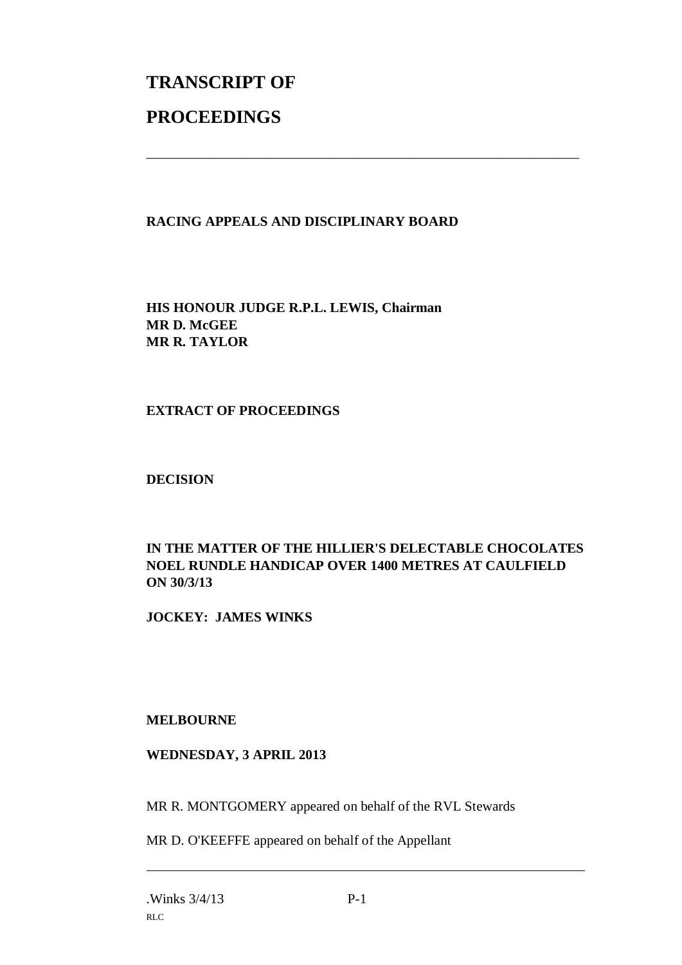# **TRANSCRIPT OF PROCEEDINGS**

# **RACING APPEALS AND DISCIPLINARY BOARD**

\_\_\_\_\_\_\_\_\_\_\_\_\_\_\_\_\_\_\_\_\_\_\_\_\_\_\_\_\_\_\_\_\_\_\_\_\_\_\_\_\_\_\_\_\_\_\_\_\_\_\_\_\_\_\_\_\_\_\_\_\_\_\_

**HIS HONOUR JUDGE R.P.L. LEWIS, Chairman MR D. McGEE MR R. TAYLOR**

#### **EXTRACT OF PROCEEDINGS**

#### **DECISION**

# **IN THE MATTER OF THE HILLIER'S DELECTABLE CHOCOLATES NOEL RUNDLE HANDICAP OVER 1400 METRES AT CAULFIELD ON 30/3/13**

**JOCKEY: JAMES WINKS**

#### **MELBOURNE**

# **WEDNESDAY, 3 APRIL 2013**

MR R. MONTGOMERY appeared on behalf of the RVL Stewards

MR D. O'KEEFFE appeared on behalf of the Appellant